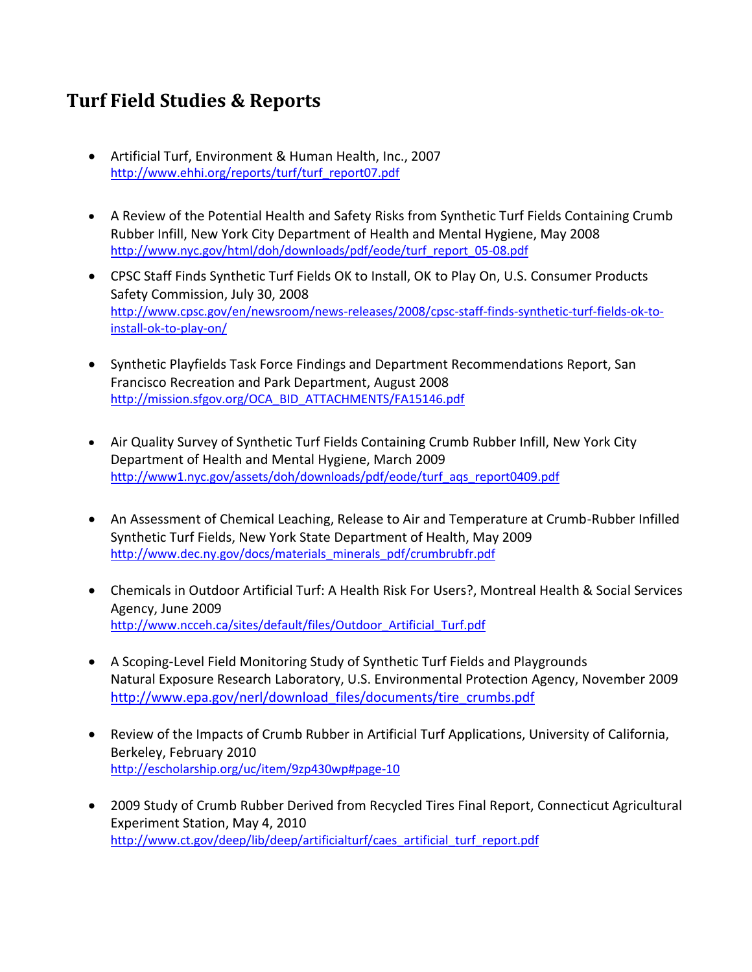## **Turf Field Studies & Reports**

- Artificial Turf, Environment & Human Health, Inc., 2007 [http://www.ehhi.org/reports/turf/turf\\_report07.pdf](http://www.ehhi.org/reports/turf/turf_report07.pdf)
- A Review of the Potential Health and Safety Risks from Synthetic Turf Fields Containing Crumb Rubber Infill, New York City Department of Health and Mental Hygiene, May 2008 http://www.nyc.gov/html/doh/downloads/pdf/eode/turf\_report\_05-08.pdf
- CPSC Staff Finds Synthetic Turf Fields OK to Install, OK to Play On, U.S. Consumer Products Safety Commission, July 30, 2008 [http://www.cpsc.gov/en/newsroom/news-releases/2008/cpsc-staff-finds-synthetic-turf-fields-ok-to](http://www.cpsc.gov/en/newsroom/news-releases/2008/cpsc-staff-finds-synthetic-turf-fields-ok-to-install-ok-to-play-on/)[install-ok-to-play-on/](http://www.cpsc.gov/en/newsroom/news-releases/2008/cpsc-staff-finds-synthetic-turf-fields-ok-to-install-ok-to-play-on/)
- Synthetic Playfields Task Force Findings and Department Recommendations Report, San Francisco Recreation and Park Department, August 2008 [http://mission.sfgov.org/OCA\\_BID\\_ATTACHMENTS/FA15146.pdf](http://mission.sfgov.org/OCA_BID_ATTACHMENTS/FA15146.pdf)
- Air Quality Survey of Synthetic Turf Fields Containing Crumb Rubber Infill, New York City Department of Health and Mental Hygiene, March 2009 http://www1.nyc.gov/assets[/doh/downloads/pdf/eode/turf\\_aqs\\_report0409.pdf](http://www1.nyc.gov/assets/doh/downloads/pdf/eode/turf_aqs_report0409.pdf)
- An Assessment of Chemical Leaching, Release to Air and Temperature at Crumb-Rubber Infilled Synthetic Turf Fields, New York State Department of Health, May 2009 [http://www.dec.ny.gov/docs/materials\\_minerals\\_pdf/crumbrubfr.pdf](http://www.dec.ny.gov/docs/materials_minerals_pdf/crumbrubfr.pdf)
- Chemicals in Outdoor Artificial Turf: A Health Risk For Users?, Montreal Health & Social Services Agency, June 2009 [http://www.ncceh.ca/sites/default/files/Outdoor\\_Artificial\\_Turf.pdf](http://www.ncceh.ca/sites/default/files/Outdoor_Artificial_Turf.pdf)
- A Scoping-Level Field Monitoring Study of Synthetic Turf Fields and Playgrounds Natural Exposure Research Laboratory, U.S. Environmental Protection Agency, November 2009 [http://www.epa.gov/nerl/download\\_files/documents/tire\\_crumbs.pdf](http://www.epa.gov/nerl/download_files/documents/tire_crumbs.pdf)
- Review of the Impacts of Crumb Rubber in Artificial Turf Applications, University of California, Berkeley, February 2010 <http://escholarship.org/uc/item/9zp430wp#page-10>
- 2009 Study of Crumb Rubber Derived from Recycled Tires Final Report, Connecticut Agricultural Experiment Station, May 4, 2010 [http://www.ct.gov/deep/lib/deep/artificialturf/caes\\_artificial\\_turf\\_report.pdf](http://www.ct.gov/deep/lib/deep/artificialturf/caes_artificial_turf_report.pdf)